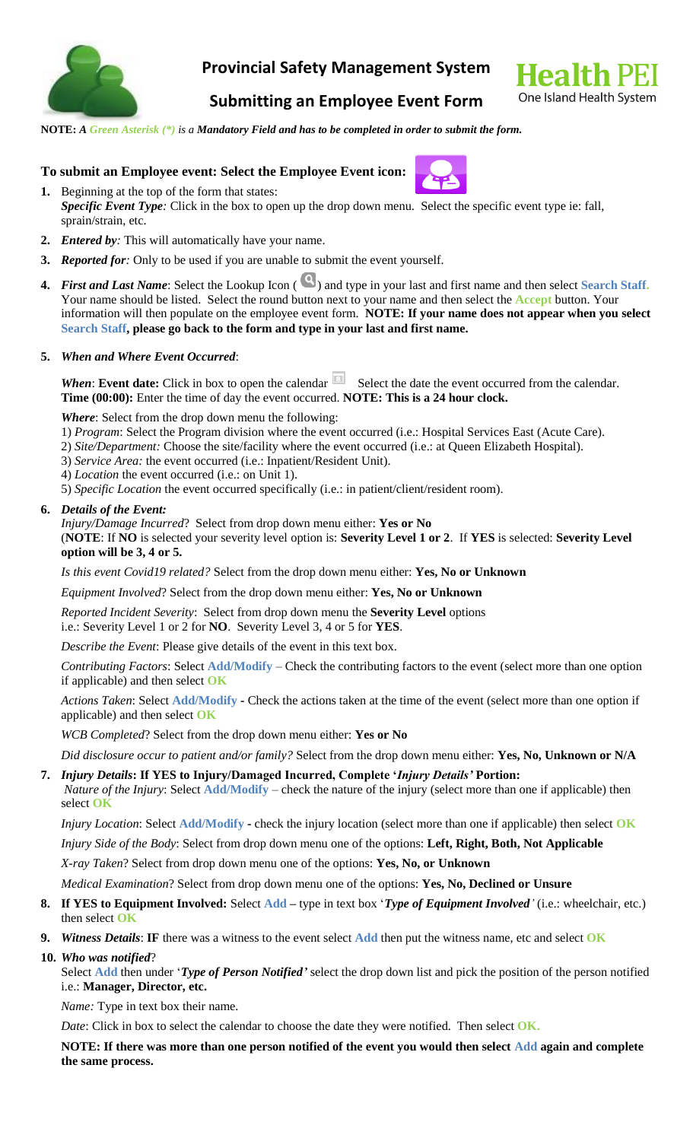

## **Provincial Safety Management System**



# **Submitting an Employee Event Form**

**NOTE:** *A Green Asterisk (\*) is a Mandatory Field and has to be completed in order to submit the form.*

## **To submit an Employee event: Select the Employee Event icon:**

- **1.** Beginning at the top of the form that states: *Specific Event Type:* Click in the box to open up the drop down menu. Select the specific event type ie: fall, sprain/strain, etc.
- **2.** *Entered by:* This will automatically have your name.
- **3.** *Reported for:* Only to be used if you are unable to submit the event yourself.
- **4.** *First and Last Name*: Select the Lookup Icon ( ) and type in your last and first name and then select Search Staff. Your name should be listed. Select the round button next to your name and then select the **Accept** button. Your information will then populate on the employee event form. **NOTE: If your name does not appear when you select Search Staff, please go back to the form and type in your last and first name.**

### **5.** *When and Where Event Occurred*:

**When: Event date:** Click in box to open the calendar **Select** the date the event occurred from the calendar. **Time (00:00):** Enter the time of day the event occurred. **NOTE: This is a 24 hour clock.**

*Where*: Select from the drop down menu the following:

- 1) *Program*: Select the Program division where the event occurred (i.e.: Hospital Services East (Acute Care).
- 2) *Site/Department:* Choose the site/facility where the event occurred (i.e.: at Queen Elizabeth Hospital).
- 3) *Service Area:* the event occurred (i.e.: Inpatient/Resident Unit).
- 4) *Location* the event occurred (i.e.: on Unit 1).
- 5) *Specific Location* the event occurred specifically (i.e.: in patient/client/resident room).

### **6.** *Details of the Event:*

*Injury/Damage Incurred*? Select from drop down menu either: **Yes or No**

(**NOTE**: If **NO** is selected your severity level option is: **Severity Level 1 or 2**. If **YES** is selected: **Severity Level option will be 3, 4 or 5.**

*Is this event Covid19 related?* Select from the drop down menu either: **Yes, No or Unknown**

*Equipment Involved*? Select from the drop down menu either: **Yes, No or Unknown**

*Reported Incident Severity*: Select from drop down menu the **Severity Level** options

i.e.: Severity Level 1 or 2 for **NO**. Severity Level 3, 4 or 5 for **YES**.

*Describe the Event*: Please give details of the event in this text box.

*Contributing Factors*: Select **Add/Modify** – Check the contributing factors to the event (select more than one option if applicable) and then select **OK**

*Actions Taken*: Select **Add/Modify -** Check the actions taken at the time of the event (select more than one option if applicable) and then select **OK**

*WCB Completed*? Select from the drop down menu either: **Yes or No**

*Did disclosure occur to patient and/or family?* Select from the drop down menu either: **Yes, No, Unknown or N/A**

**7.** *Injury Details***: If YES to Injury/Damaged Incurred, Complete '***Injury Details'* **Portion:** *Nature of the Injury*: Select **Add/Modify** – check the nature of the injury (select more than one if applicable) then select **OK**

*Injury Location*: Select **Add/Modify -** check the injury location (select more than one if applicable) then select **OK**

*Injury Side of the Body*: Select from drop down menu one of the options: **Left, Right, Both, Not Applicable**

*X-ray Taken*? Select from drop down menu one of the options: **Yes, No, or Unknown**

*Medical Examination*? Select from drop down menu one of the options: **Yes, No, Declined or Unsure**

- **8. If YES to Equipment Involved:** Select **Add –** type in text box '*Type of Equipment Involved'* (i.e.: wheelchair, etc.) then select **OK**
- **9.** *Witness Details*: **IF** there was a witness to the event select **Add** then put the witness name, etc and select **OK**
- **10.** *Who was notified*?

Select **Add** then under '*Type of Person Notified'* select the drop down list and pick the position of the person notified i.e.: **Manager, Director, etc.**

*Name:* Type in text box their name.

*Date*: Click in box to select the calendar to choose the date they were notified. Then select **OK.** 

**NOTE: If there was more than one person notified of the event you would then select Add again and complete the same process.**